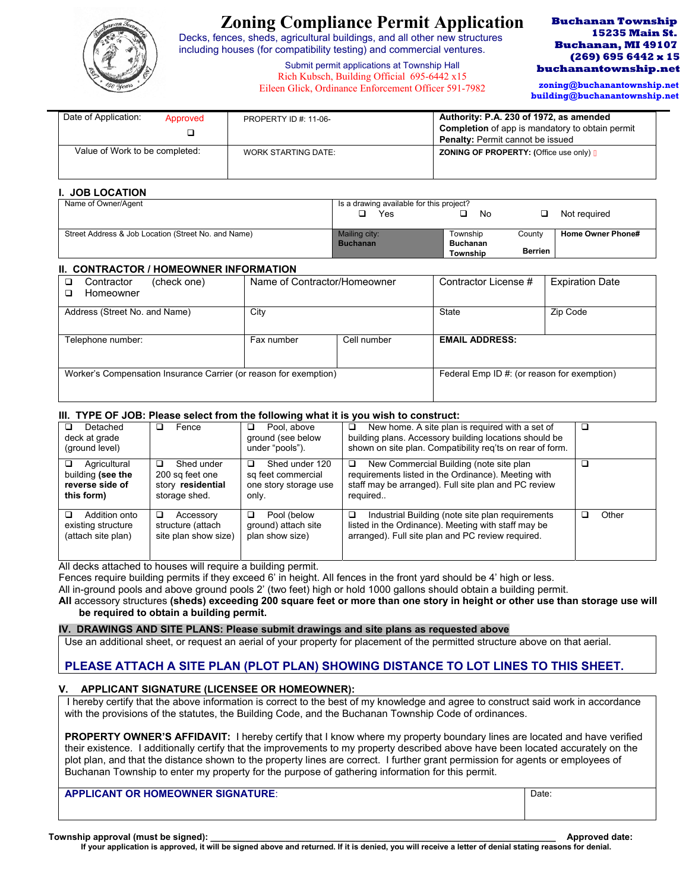

# **Zoning Compliance Permit Application**

Decks, fences, sheds, agricultural buildings, and all other new structures including houses (for compatibility testing) and commercial ventures.

### **Buchanan Township 15235 Main St. Buchanan, MI 49107 (269) 695 6442 x 15 buchanantownship.net**

 **zoning@buchanantownship.net building@buchanantownship.net**

| Submit permit applications at Township Hall          |
|------------------------------------------------------|
| Rich Kubsch, Building Official 695-6442 x15          |
| Eileen Glick, Ordinance Enforcement Officer 591-7982 |

| Date of Application:           | Approved | <b>PROPERTY ID #: 11-06-</b> | Authority: P.A. 230 of 1972, as amended<br>Completion of app is mandatory to obtain permit<br><b>Penalty: Permit cannot be issued</b> |
|--------------------------------|----------|------------------------------|---------------------------------------------------------------------------------------------------------------------------------------|
| Value of Work to be completed: |          | WORK STARTING DATE:          | <b>ZONING OF PROPERTY:</b> (Office use only) $\overrightarrow{A}$                                                                     |

### **I. JOB LOCATION**

| Name of Owner/Agent                                 | Is a drawing available for this project? |                 |                |                   |
|-----------------------------------------------------|------------------------------------------|-----------------|----------------|-------------------|
|                                                     | Yes                                      | No              |                | Not required      |
|                                                     |                                          |                 |                |                   |
| Street Address & Job Location (Street No. and Name) | Mailing city:                            | Township        | Countv         | Home Owner Phone# |
|                                                     | <b>Buchanan</b>                          | <b>Buchanan</b> |                |                   |
|                                                     |                                          | <b>Township</b> | <b>Berrien</b> |                   |

### **II. CONTRACTOR / HOMEOWNER INFORMATION**

| Contractor                                                        | (check one) | Name of Contractor/Homeowner |                                             | Contractor License #  | <b>Expiration Date</b> |
|-------------------------------------------------------------------|-------------|------------------------------|---------------------------------------------|-----------------------|------------------------|
| Homeowner                                                         |             |                              |                                             |                       |                        |
| Address (Street No. and Name)                                     |             | City                         |                                             | State                 | Zip Code               |
|                                                                   |             |                              |                                             |                       |                        |
| Telephone number:                                                 |             | Fax number                   | Cell number                                 | <b>EMAIL ADDRESS:</b> |                        |
|                                                                   |             |                              |                                             |                       |                        |
| Worker's Compensation Insurance Carrier (or reason for exemption) |             |                              | Federal Emp ID #: (or reason for exemption) |                       |                        |
|                                                                   |             |                              |                                             |                       |                        |

# **III. TYPE OF JOB: Please select from the following what it is you wish to construct:**

| Detached<br>deck at grade<br>(ground level)                        | Fence                                                                    | Pool, above<br>□<br>ground (see below<br>under "pools").                    | New home. A site plan is required with a set of<br>□<br>building plans. Accessory building locations should be<br>shown on site plan. Compatibility reg'ts on rear of form. |       |
|--------------------------------------------------------------------|--------------------------------------------------------------------------|-----------------------------------------------------------------------------|-----------------------------------------------------------------------------------------------------------------------------------------------------------------------------|-------|
| Agricultural<br>building (see the<br>reverse side of<br>this form) | Shed under<br>◻<br>200 sq feet one<br>story residential<br>storage shed. | Shed under 120<br>⊔<br>sq feet commercial<br>one story storage use<br>only. | New Commercial Building (note site plan<br>□<br>requirements listed in the Ordinance). Meeting with<br>staff may be arranged). Full site plan and PC review<br>required     |       |
| Addition onto<br>existing structure<br>(attach site plan)          | Accessory<br>ப<br>structure (attach<br>site plan show size)              | Pool (below<br>□<br>ground) attach site<br>plan show size)                  | Industrial Building (note site plan requirements<br>□<br>listed in the Ordinance). Meeting with staff may be<br>arranged). Full site plan and PC review required.           | Other |

All decks attached to houses will require a building permit.

Fences require building permits if they exceed 6' in height. All fences in the front yard should be 4' high or less.

All in-ground pools and above ground pools 2' (two feet) high or hold 1000 gallons should obtain a building permit.

**All** accessory structures **(sheds) exceeding 200 square feet or more than one story in height or other use than storage use will be required to obtain a building permit.** 

### **IV. DRAWINGS AND SITE PLANS: Please submit drawings and site plans as requested above**

Use an additional sheet, or request an aerial of your property for placement of the permitted structure above on that aerial.

# **PLEASE ATTACH A SITE PLAN (PLOT PLAN) SHOWING DISTANCE TO LOT LINES TO THIS SHEET.**

# **V. APPLICANT SIGNATURE (LICENSEE OR HOMEOWNER):**

I hereby certify that the above information is correct to the best of my knowledge and agree to construct said work in accordance with the provisions of the statutes, the Building Code, and the Buchanan Township Code of ordinances.

**PROPERTY OWNER'S AFFIDAVIT:** I hereby certify that I know where my property boundary lines are located and have verified their existence. I additionally certify that the improvements to my property described above have been located accurately on the plot plan, and that the distance shown to the property lines are correct. I further grant permission for agents or employees of Buchanan Township to enter my property for the purpose of gathering information for this permit.

# **APPLICANT OR HOMEOWNER SIGNATURE:**  $\blacksquare$

**Township approval (must be signed): \_\_\_\_\_\_\_\_\_\_\_\_\_\_\_\_\_\_\_\_\_\_\_\_\_\_\_\_\_\_\_\_\_\_\_\_\_\_\_\_\_\_\_\_\_\_\_\_\_\_\_\_\_\_\_\_\_\_\_\_\_\_\_\_\_\_\_\_\_ Approved date:** 

**If your application is approved, it will be signed above and returned. If it is denied, you will receive a letter of denial stating reasons for denial.**